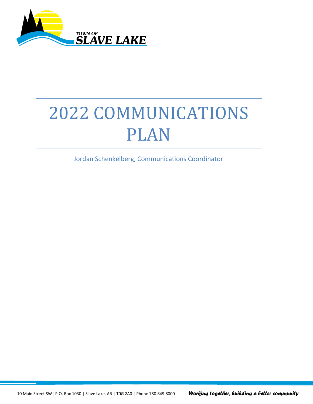

# 2022 COMMUNICATIONS PLAN

Jordan Schenkelberg, Communications Coordinator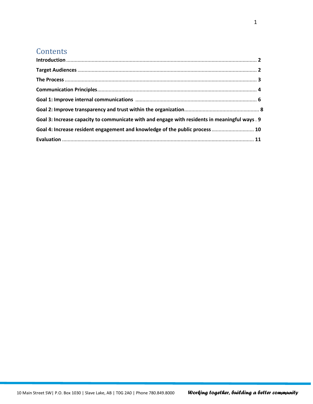## **Contents**

| Goal 3: Increase capacity to communicate with and engage with residents in meaningful ways . 9 |  |
|------------------------------------------------------------------------------------------------|--|
| Goal 4: Increase resident engagement and knowledge of the public process  10                   |  |
|                                                                                                |  |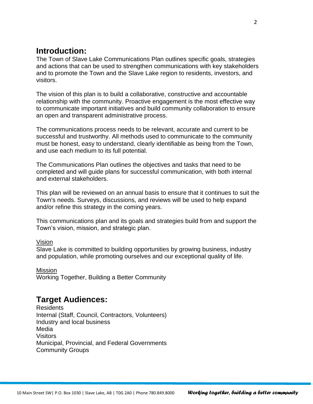#### **Introduction:**

The Town of Slave Lake Communications Plan outlines specific goals, strategies and actions that can be used to strengthen communications with key stakeholders and to promote the Town and the Slave Lake region to residents, investors, and visitors.

The vision of this plan is to build a collaborative, constructive and accountable relationship with the community. Proactive engagement is the most effective way to communicate important initiatives and build community collaboration to ensure an open and transparent administrative process.

The communications process needs to be relevant, accurate and current to be successful and trustworthy. All methods used to communicate to the community must be honest, easy to understand, clearly identifiable as being from the Town, and use each medium to its full potential.

The Communications Plan outlines the objectives and tasks that need to be completed and will guide plans for successful communication, with both internal and external stakeholders.

This plan will be reviewed on an annual basis to ensure that it continues to suit the Town's needs. Surveys, discussions, and reviews will be used to help expand and/or refine this strategy in the coming years.

This communications plan and its goals and strategies build from and support the Town's vision, mission, and strategic plan.

Vision

Slave Lake is committed to building opportunities by growing business, industry and population, while promoting ourselves and our exceptional quality of life.

Mission Working Together, Building a Better Community

#### **Target Audiences:**

**Residents** Internal (Staff, Council, Contractors, Volunteers) Industry and local business Media Visitors Municipal, Provincial, and Federal Governments Community Groups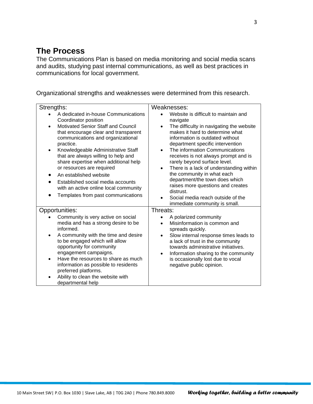### **The Process**

The Communications Plan is based on media monitoring and social media scans and audits, studying past internal communications, as well as best practices in communications for local government.

Organizational strengths and weaknesses were determined from this research.

| Strengths:                                                                                                                                                                                                                                                                                                                                                                                                | Weaknesses:                                                                                                                                                                                                                                                                                                                                   |  |  |
|-----------------------------------------------------------------------------------------------------------------------------------------------------------------------------------------------------------------------------------------------------------------------------------------------------------------------------------------------------------------------------------------------------------|-----------------------------------------------------------------------------------------------------------------------------------------------------------------------------------------------------------------------------------------------------------------------------------------------------------------------------------------------|--|--|
| A dedicated in-house Communications<br>Coordinator position<br>Motivated Senior Staff and Council<br>$\bullet$<br>that encourage clear and transparent<br>communications and organizational<br>practice.<br>Knowledgeable Administrative Staff<br>$\bullet$                                                                                                                                               | Website is difficult to maintain and<br>navigate<br>The difficulty in navigating the website<br>$\bullet$<br>makes it hard to determine what<br>information is outdated without<br>department specific intervention<br>The information Communications<br>$\bullet$                                                                            |  |  |
| that are always willing to help and<br>share expertise when additional help<br>or resources are required<br>An established website<br>Established social media accounts<br>with an active online local community<br>Templates from past communications                                                                                                                                                    | receives is not always prompt and is<br>rarely beyond surface level.<br>There is a lack of understanding within<br>$\bullet$<br>the community in what each<br>department/the town does which<br>raises more questions and creates<br>distrust.<br>Social media reach outside of the<br>$\bullet$<br>immediate community is small.             |  |  |
| Opportunities:                                                                                                                                                                                                                                                                                                                                                                                            | Threats:                                                                                                                                                                                                                                                                                                                                      |  |  |
| Community is very active on social<br>media and has a strong desire to be<br>informed.<br>A community with the time and desire<br>٠<br>to be engaged which will allow<br>opportunity for community<br>engagement campaigns.<br>Have the resources to share as much<br>$\bullet$<br>information as possible to residents<br>preferred platforms.<br>Ability to clean the website with<br>departmental help | A polarized community<br>Misinformation is common and<br>$\bullet$<br>spreads quickly.<br>Slow internal response times leads to<br>$\bullet$<br>a lack of trust in the community<br>towards administrative initiatives.<br>Information sharing to the community<br>$\bullet$<br>is occasionally lost due to vocal<br>negative public opinion. |  |  |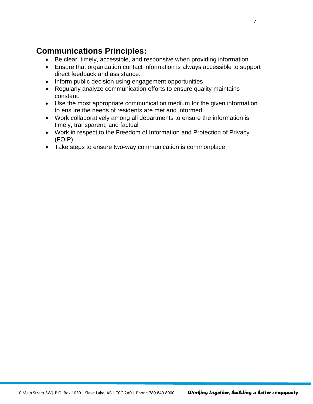## **Communications Principles:**

- Be clear, timely, accessible, and responsive when providing information
- Ensure that organization contact information is always accessible to support direct feedback and assistance.
- Inform public decision using engagement opportunities
- Regularly analyze communication efforts to ensure quality maintains constant.
- Use the most appropriate communication medium for the given information to ensure the needs of residents are met and informed.
- Work collaboratively among all departments to ensure the information is timely, transparent, and factual
- Work in respect to the Freedom of Information and Protection of Privacy (FOIP)
- Take steps to ensure two-way communication is commonplace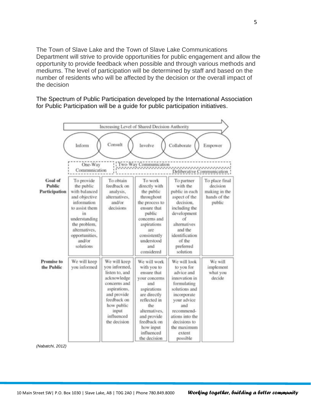The Town of Slave Lake and the Town of Slave Lake Communications Department will strive to provide opportunities for public engagement and allow the opportunity to provide feedback when possible and through various methods and mediums. The level of participation will be determined by staff and based on the number of residents who will be affected by the decision or the overall impact of the decision

The Spectrum of Public Participation developed by the International Association for Public Participation will be a guide for public participation initiatives.

|                                                         |                                                                                                                                                                                              | Increasing Level of Shared Decision Authority                                                                                                                                     |                                                                                                                                                                                                                    |                                                                                                                                                                                                                      |                                                                       |
|---------------------------------------------------------|----------------------------------------------------------------------------------------------------------------------------------------------------------------------------------------------|-----------------------------------------------------------------------------------------------------------------------------------------------------------------------------------|--------------------------------------------------------------------------------------------------------------------------------------------------------------------------------------------------------------------|----------------------------------------------------------------------------------------------------------------------------------------------------------------------------------------------------------------------|-----------------------------------------------------------------------|
|                                                         | Inform<br>One-Way<br>Communication                                                                                                                                                           | Consult                                                                                                                                                                           | Involve<br>Two-Way Communication                                                                                                                                                                                   | Collaborate                                                                                                                                                                                                          | Empower<br>Deliberative Communication                                 |
| <b>Goal of</b><br><b>Public</b><br><b>Participation</b> | To provide<br>the public<br>with balanced<br>and objective<br>information<br>to assist them<br>in<br>understanding<br>the problem,<br>alternatives,<br>opportunities,<br>and/or<br>solutions | To obtain<br>feedback on<br>analysis,<br>alternatives.<br>and/or<br>decisions                                                                                                     | To work<br>directly with<br>the public<br>throughout<br>the process to<br>ensure that<br>public<br>concerns and<br>aspirations<br>are<br>consistently<br>understood<br>and<br>considered                           | To partner<br>with the<br>public in each<br>aspect of the<br>decision.<br>including the<br>development<br>of<br>alternatives<br>and the<br>identification<br>of the<br>preferred<br>solution                         | To place final<br>decision<br>making in the<br>hands of the<br>public |
| <b>Promise to</b><br>the Public                         | We will keep<br>you informed                                                                                                                                                                 | We will keep<br>you informed,<br>listen to, and<br>acknowledge<br>concerns and<br>aspirations,<br>and provide<br>feedback on<br>how public<br>input<br>influenced<br>the decision | We will work<br>with you to<br>ensure that<br>your concerns<br>and<br>aspirations<br>are directly<br>reflected in<br>the<br>alternatives.<br>and provide<br>feedback on<br>how input<br>influenced<br>the decision | We will look<br>to you for<br>advice and<br>innovation in<br>formulating<br>solutions and<br>incorporate<br>your advice<br>and<br>recommend-<br>ations into the<br>decisions to<br>the maximum<br>extent<br>possible | We will<br>implement<br>what you<br>decide                            |

*(Nabatchi, 2012)*

u.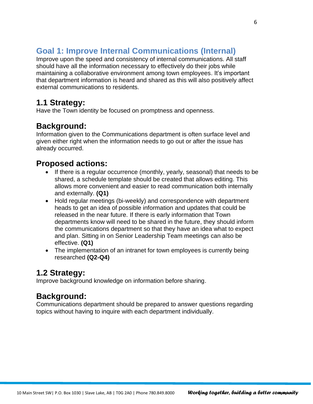## **Goal 1: Improve Internal Communications (Internal)**

Improve upon the speed and consistency of internal communications. All staff should have all the information necessary to effectively do their jobs while maintaining a collaborative environment among town employees. It's important that department information is heard and shared as this will also positively affect external communications to residents.

## **1.1 Strategy:**

Have the Town identity be focused on promptness and openness.

#### **Background:**

Information given to the Communications department is often surface level and given either right when the information needs to go out or after the issue has already occurred.

## **Proposed actions:**

- If there is a regular occurrence (monthly, yearly, seasonal) that needs to be shared, a schedule template should be created that allows editing. This allows more convenient and easier to read communication both internally and externally. **(Q1)**
- Hold regular meetings (bi-weekly) and correspondence with department heads to get an idea of possible information and updates that could be released in the near future. If there is early information that Town departments know will need to be shared in the future, they should inform the communications department so that they have an idea what to expect and plan. Sitting in on Senior Leadership Team meetings can also be effective. **(Q1)**
- The implementation of an intranet for town employees is currently being researched **(Q2-Q4)**

## **1.2 Strategy:**

Improve background knowledge on information before sharing.

## **Background:**

Communications department should be prepared to answer questions regarding topics without having to inquire with each department individually.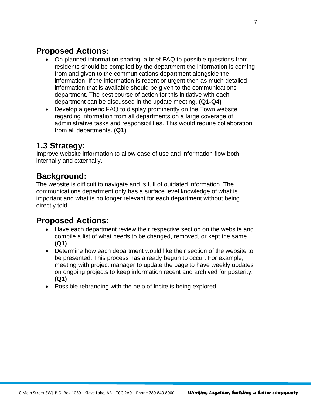## **Proposed Actions:**

- On planned information sharing, a brief FAQ to possible questions from residents should be compiled by the department the information is coming from and given to the communications department alongside the information. If the information is recent or urgent then as much detailed information that is available should be given to the communications department. The best course of action for this initiative with each department can be discussed in the update meeting. **(Q1-Q4)**
- Develop a generic FAQ to display prominently on the Town website regarding information from all departments on a large coverage of administrative tasks and responsibilities. This would require collaboration from all departments. **(Q1)**

## **1.3 Strategy:**

Improve website information to allow ease of use and information flow both internally and externally.

#### **Background:**

The website is difficult to navigate and is full of outdated information. The communications department only has a surface level knowledge of what is important and what is no longer relevant for each department without being directly told.

## **Proposed Actions:**

- Have each department review their respective section on the website and compile a list of what needs to be changed, removed, or kept the same. **(Q1)**
- Determine how each department would like their section of the website to be presented. This process has already begun to occur. For example, meeting with project manager to update the page to have weekly updates on ongoing projects to keep information recent and archived for posterity. **(Q1)**
- Possible rebranding with the help of Incite is being explored.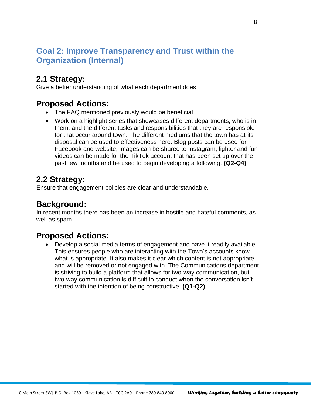## **Goal 2: Improve Transparency and Trust within the Organization (Internal)**

## **2.1 Strategy:**

Give a better understanding of what each department does

## **Proposed Actions:**

- The FAQ mentioned previously would be beneficial
- Work on a highlight series that showcases different departments, who is in them, and the different tasks and responsibilities that they are responsible for that occur around town. The different mediums that the town has at its disposal can be used to effectiveness here. Blog posts can be used for Facebook and website, images can be shared to Instagram, lighter and fun videos can be made for the TikTok account that has been set up over the past few months and be used to begin developing a following. **(Q2-Q4)**

## **2.2 Strategy:**

Ensure that engagement policies are clear and understandable.

## **Background:**

In recent months there has been an increase in hostile and hateful comments, as well as spam.

#### **Proposed Actions:**

• Develop a social media terms of engagement and have it readily available. This ensures people who are interacting with the Town's accounts know what is appropriate. It also makes it clear which content is not appropriate and will be removed or not engaged with. The Communications department is striving to build a platform that allows for two-way communication, but two-way communication is difficult to conduct when the conversation isn't started with the intention of being constructive. **(Q1-Q2)**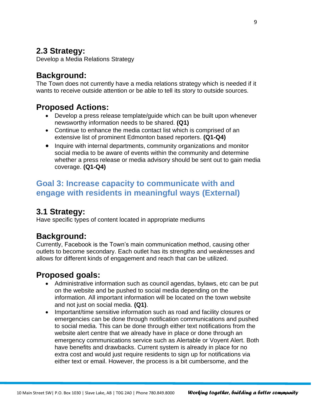## **2.3 Strategy:**

Develop a Media Relations Strategy

#### **Background:**

The Town does not currently have a media relations strategy which is needed if it wants to receive outside attention or be able to tell its story to outside sources.

#### **Proposed Actions:**

- Develop a press release template/guide which can be built upon whenever newsworthy information needs to be shared. **(Q1)**
- Continue to enhance the media contact list which is comprised of an extensive list of prominent Edmonton based reporters. **(Q1-Q4)**
- Inquire with internal departments, community organizations and monitor social media to be aware of events within the community and determine whether a press release or media advisory should be sent out to gain media coverage. **(Q1-Q4)**

## **Goal 3: Increase capacity to communicate with and engage with residents in meaningful ways (External)**

#### **3.1 Strategy:**

Have specific types of content located in appropriate mediums

#### **Background:**

Currently, Facebook is the Town's main communication method, causing other outlets to become secondary. Each outlet has its strengths and weaknesses and allows for different kinds of engagement and reach that can be utilized.

## **Proposed goals:**

- Administrative information such as council agendas, bylaws, etc can be put on the website and be pushed to social media depending on the information. All important information will be located on the town website and not just on social media. **(Q1)**.
- Important/time sensitive information such as road and facility closures or emergencies can be done through notification communications and pushed to social media. This can be done through either text notifications from the website alert centre that we already have in place or done through an emergency communications service such as Alertable or Voyent Alert. Both have benefits and drawbacks. Current system is already in place for no extra cost and would just require residents to sign up for notifications via either text or email. However, the process is a bit cumbersome, and the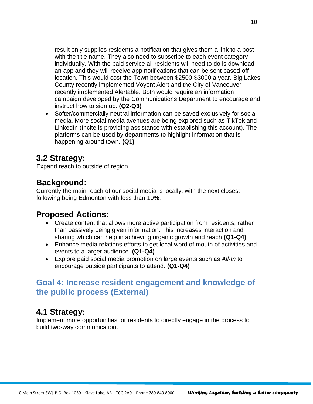result only supplies residents a notification that gives them a link to a post with the title name. They also need to subscribe to each event category individually. With the paid service all residents will need to do is download an app and they will receive app notifications that can be sent based off location. This would cost the Town between \$2500-\$3000 a year. Big Lakes County recently implemented Voyent Alert and the City of Vancouver recently implemented Alertable. Both would require an information campaign developed by the Communications Department to encourage and instruct how to sign up. **(Q2-Q3)**

• Softer/commercially neutral information can be saved exclusively for social media. More social media avenues are being explored such as TikTok and LinkedIn (Incite is providing assistance with establishing this account). The platforms can be used by departments to highlight information that is happening around town. **(Q1)**

#### **3.2 Strategy:**

Expand reach to outside of region.

#### **Background:**

Currently the main reach of our social media is locally, with the next closest following being Edmonton with less than 10%.

#### **Proposed Actions:**

- Create content that allows more active participation from residents, rather than passively being given information. This increases interaction and sharing which can help in achieving organic growth and reach **(Q1-Q4)**
- Enhance media relations efforts to get local word of mouth of activities and events to a larger audience. **(Q1-Q4)**
- Explore paid social media promotion on large events such as *All-In* to encourage outside participants to attend. **(Q1-Q4)**

#### **Goal 4: Increase resident engagement and knowledge of the public process (External)**

## **4.1 Strategy:**

Implement more opportunities for residents to directly engage in the process to build two-way communication.